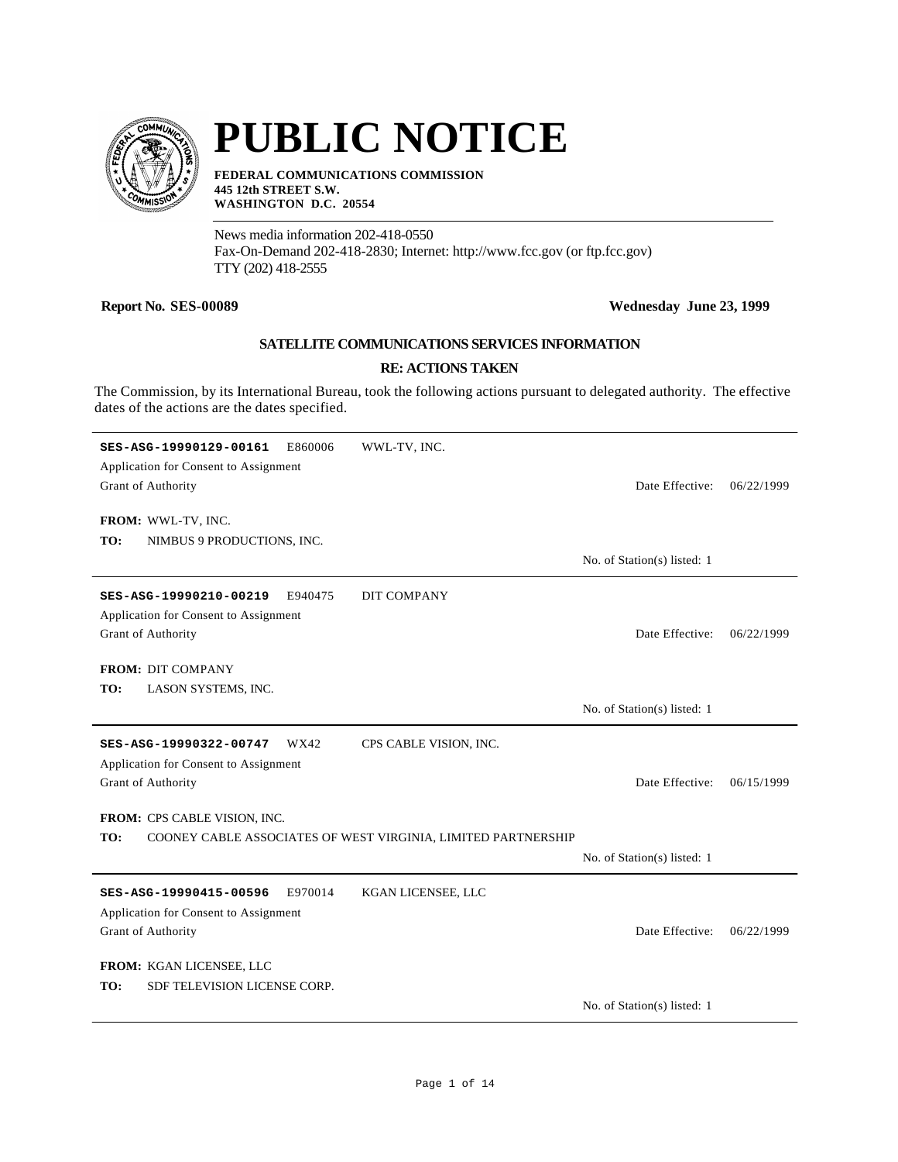

# **PUBLIC NOTICE**

**FEDERAL COMMUNICATIONS COMMISSION 445 12th STREET S.W. WASHINGTON D.C. 20554**

News media information 202-418-0550 Fax-On-Demand 202-418-2830; Internet: http://www.fcc.gov (or ftp.fcc.gov) TTY (202) 418-2555

### **Report No. SES-00089 Wednesday June 23, 1999**

## **SATELLITE COMMUNICATIONS SERVICES INFORMATION**

#### **RE: ACTIONS TAKEN**

The Commission, by its International Bureau, took the following actions pursuant to delegated authority. The effective dates of the actions are the dates specified.

| WWL-TV, INC.                                                         |            |
|----------------------------------------------------------------------|------------|
| Application for Consent to Assignment                                |            |
| Grant of Authority<br>Date Effective:                                | 06/22/1999 |
|                                                                      |            |
| FROM: WWL-TV, INC.                                                   |            |
| TO:<br>NIMBUS 9 PRODUCTIONS, INC.                                    |            |
| No. of Station(s) listed: 1                                          |            |
| E940475<br><b>DIT COMPANY</b><br>SES-ASG-19990210-00219              |            |
| Application for Consent to Assignment                                |            |
| Grant of Authority<br>Date Effective:                                | 06/22/1999 |
|                                                                      |            |
| <b>FROM: DIT COMPANY</b>                                             |            |
| LASON SYSTEMS, INC.<br>TO:                                           |            |
| No. of Station(s) listed: 1                                          |            |
| SES-ASG-19990322-00747<br>WX42<br>CPS CABLE VISION, INC.             |            |
| Application for Consent to Assignment                                |            |
| Grant of Authority<br>Date Effective:                                | 06/15/1999 |
|                                                                      |            |
| FROM: CPS CABLE VISION, INC.                                         |            |
| TO:<br>COONEY CABLE ASSOCIATES OF WEST VIRGINIA, LIMITED PARTNERSHIP |            |
| No. of Station(s) listed: 1                                          |            |
| E970014<br>KGAN LICENSEE, LLC<br>SES-ASG-19990415-00596              |            |
| Application for Consent to Assignment                                |            |
| Grant of Authority<br>Date Effective:                                | 06/22/1999 |
|                                                                      |            |
| FROM: KGAN LICENSEE, LLC                                             |            |
| SDF TELEVISION LICENSE CORP.<br>TO:                                  |            |
| No. of Station(s) listed: 1                                          |            |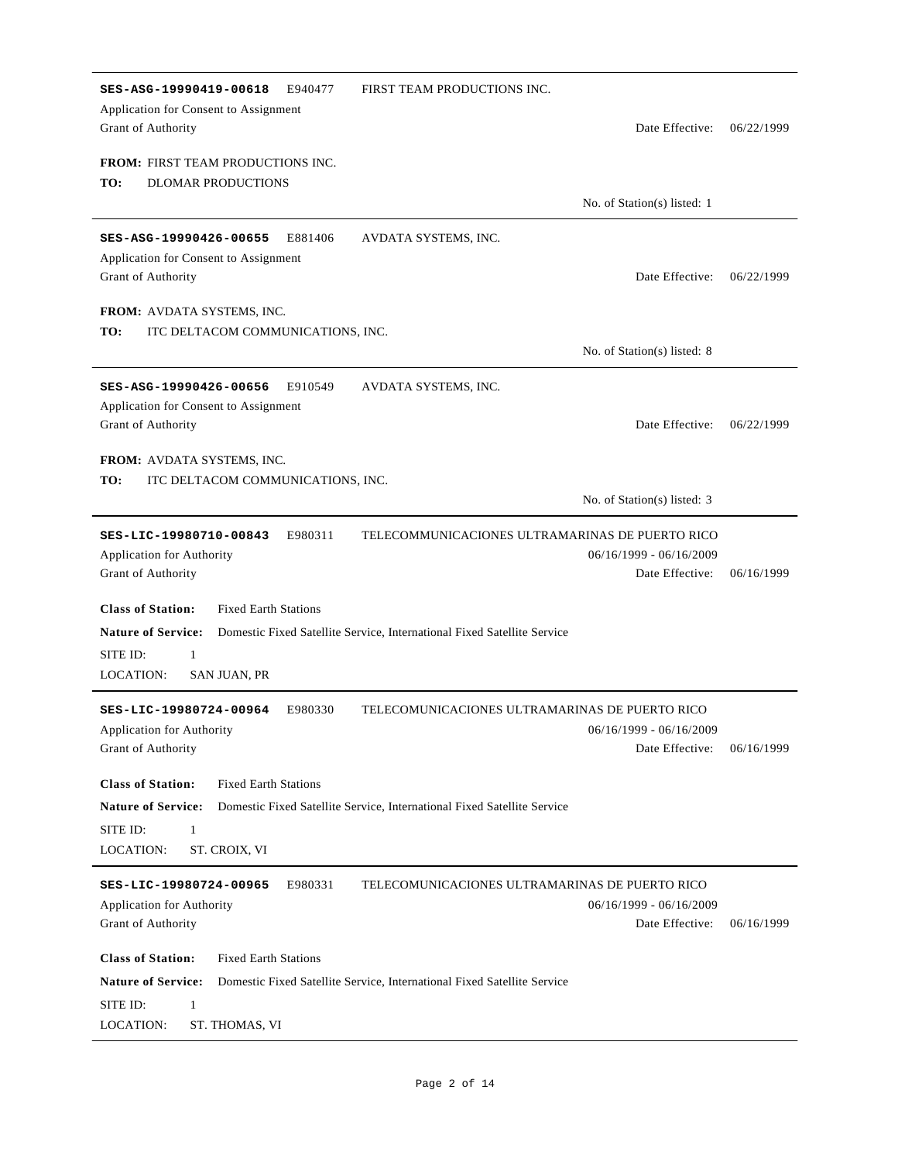| SES-ASG-19990419-00618<br>E940477<br>Application for Consent to Assignment<br>Grant of Authority                                   | FIRST TEAM PRODUCTIONS INC.<br>Date Effective:                                                  | 06/22/1999 |
|------------------------------------------------------------------------------------------------------------------------------------|-------------------------------------------------------------------------------------------------|------------|
| <b>FROM: FIRST TEAM PRODUCTIONS INC.</b><br>TO:<br><b>DLOMAR PRODUCTIONS</b>                                                       | No. of Station(s) listed: 1                                                                     |            |
| SES-ASG-19990426-00655 E881406                                                                                                     | AVDATA SYSTEMS, INC.                                                                            |            |
| Application for Consent to Assignment<br>Grant of Authority                                                                        | Date Effective:                                                                                 | 06/22/1999 |
| FROM: AVDATA SYSTEMS, INC.                                                                                                         |                                                                                                 |            |
| TO:<br>ITC DELTACOM COMMUNICATIONS, INC.                                                                                           | No. of Station(s) listed: 8                                                                     |            |
| SES-ASG-19990426-00656<br>E910549                                                                                                  | AVDATA SYSTEMS, INC.                                                                            |            |
| Application for Consent to Assignment                                                                                              |                                                                                                 |            |
| Grant of Authority                                                                                                                 | Date Effective:                                                                                 | 06/22/1999 |
| <b>FROM: AVDATA SYSTEMS, INC.</b>                                                                                                  |                                                                                                 |            |
| TO:<br>ITC DELTACOM COMMUNICATIONS, INC.                                                                                           | No. of Station(s) listed: 3                                                                     |            |
| SES-LIC-19980710-00843<br>E980311<br>Application for Authority<br>Grant of Authority                                               | TELECOMMUNICACIONES ULTRAMARINAS DE PUERTO RICO<br>$06/16/1999 - 06/16/2009$<br>Date Effective: | 06/16/1999 |
| <b>Class of Station:</b><br><b>Fixed Earth Stations</b><br><b>Nature of Service:</b><br>SITE ID:<br>1<br>LOCATION:<br>SAN JUAN, PR | Domestic Fixed Satellite Service, International Fixed Satellite Service                         |            |
| E980330<br>SES-LIC-19980724-00964                                                                                                  | TELECOMUNICACIONES ULTRAMARINAS DE PUERTO RICO                                                  |            |
| <b>Application for Authority</b>                                                                                                   | $06/16/1999 - 06/16/2009$                                                                       |            |
| Grant of Authority                                                                                                                 | Date Effective:                                                                                 | 06/16/1999 |
| <b>Class of Station:</b><br><b>Fixed Earth Stations</b>                                                                            |                                                                                                 |            |
| <b>Nature of Service:</b>                                                                                                          | Domestic Fixed Satellite Service, International Fixed Satellite Service                         |            |
| SITE ID:<br>$\mathbf{1}$<br>LOCATION:<br>ST. CROIX, VI                                                                             |                                                                                                 |            |
| SES-LIC-19980724-00965<br>E980331                                                                                                  | TELECOMUNICACIONES ULTRAMARINAS DE PUERTO RICO                                                  |            |
| Application for Authority<br>Grant of Authority                                                                                    | $06/16/1999 - 06/16/2009$<br>Date Effective:                                                    | 06/16/1999 |
| <b>Class of Station:</b><br><b>Fixed Earth Stations</b>                                                                            |                                                                                                 |            |
| <b>Nature of Service:</b>                                                                                                          | Domestic Fixed Satellite Service, International Fixed Satellite Service                         |            |
| SITE ID:<br>$\mathbf{1}$<br>LOCATION:<br>ST. THOMAS, VI                                                                            |                                                                                                 |            |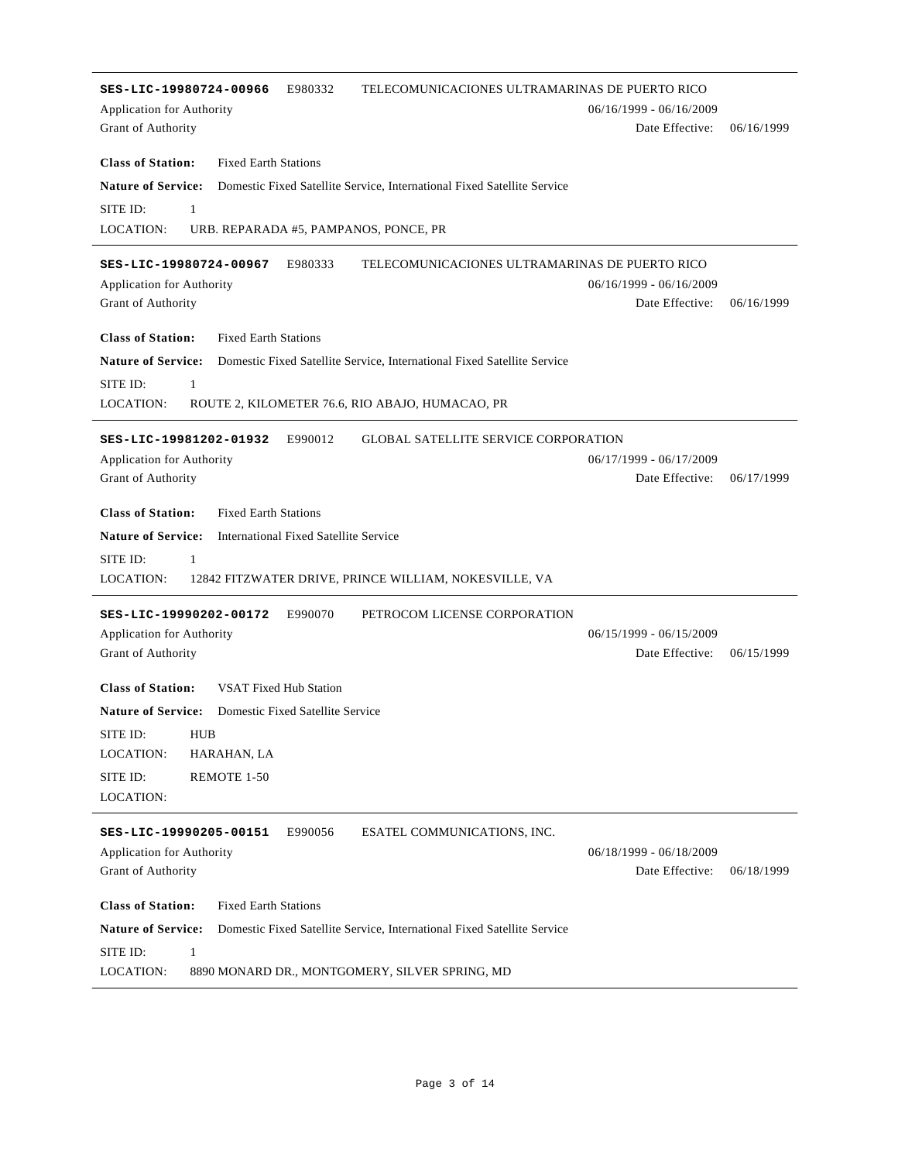| TELECOMUNICACIONES ULTRAMARINAS DE PUERTO RICO<br>SES-LIC-19980724-00966<br>E980332                  |                           |            |
|------------------------------------------------------------------------------------------------------|---------------------------|------------|
| Application for Authority                                                                            | $06/16/1999 - 06/16/2009$ |            |
| Grant of Authority                                                                                   | Date Effective:           | 06/16/1999 |
|                                                                                                      |                           |            |
| <b>Class of Station:</b><br><b>Fixed Earth Stations</b>                                              |                           |            |
| <b>Nature of Service:</b><br>Domestic Fixed Satellite Service, International Fixed Satellite Service |                           |            |
| SITE ID:<br>$\mathbf{1}$                                                                             |                           |            |
| LOCATION:<br>URB. REPARADA #5, PAMPANOS, PONCE, PR                                                   |                           |            |
| SES-LIC-19980724-00967<br>E980333                                                                    |                           |            |
| TELECOMUNICACIONES ULTRAMARINAS DE PUERTO RICO<br><b>Application for Authority</b>                   | 06/16/1999 - 06/16/2009   |            |
| Grant of Authority                                                                                   | Date Effective:           | 06/16/1999 |
|                                                                                                      |                           |            |
| <b>Class of Station:</b><br><b>Fixed Earth Stations</b>                                              |                           |            |
| <b>Nature of Service:</b><br>Domestic Fixed Satellite Service, International Fixed Satellite Service |                           |            |
| $\mathbf{1}$<br>SITE ID:                                                                             |                           |            |
| LOCATION:<br>ROUTE 2, KILOMETER 76.6, RIO ABAJO, HUMACAO, PR                                         |                           |            |
|                                                                                                      |                           |            |
| SES-LIC-19981202-01932<br>E990012<br><b>GLOBAL SATELLITE SERVICE CORPORATION</b>                     |                           |            |
| Application for Authority                                                                            | $06/17/1999 - 06/17/2009$ |            |
| Grant of Authority                                                                                   | Date Effective:           | 06/17/1999 |
| <b>Class of Station:</b><br><b>Fixed Earth Stations</b>                                              |                           |            |
|                                                                                                      |                           |            |
| <b>Nature of Service:</b><br><b>International Fixed Satellite Service</b>                            |                           |            |
|                                                                                                      |                           |            |
| SITE ID:<br>$\mathbf{1}$                                                                             |                           |            |
| LOCATION:<br>12842 FITZWATER DRIVE, PRINCE WILLIAM, NOKESVILLE, VA                                   |                           |            |
| PETROCOM LICENSE CORPORATION<br>SES-LIC-19990202-00172<br>E990070                                    |                           |            |
|                                                                                                      | $06/15/1999 - 06/15/2009$ |            |
| Application for Authority<br>Grant of Authority                                                      | Date Effective:           | 06/15/1999 |
|                                                                                                      |                           |            |
| <b>Class of Station:</b><br><b>VSAT Fixed Hub Station</b>                                            |                           |            |
| <b>Nature of Service:</b><br>Domestic Fixed Satellite Service                                        |                           |            |
| SITE ID:<br><b>HUB</b>                                                                               |                           |            |
| LOCATION:<br>HARAHAN, LA                                                                             |                           |            |
| REMOTE 1-50<br>SITE ID:                                                                              |                           |            |
| LOCATION:                                                                                            |                           |            |
|                                                                                                      |                           |            |
| SES-LIC-19990205-00151<br>E990056<br>ESATEL COMMUNICATIONS, INC.                                     |                           |            |
| Application for Authority                                                                            | 06/18/1999 - 06/18/2009   |            |
| Grant of Authority                                                                                   | Date Effective:           | 06/18/1999 |
| <b>Class of Station:</b><br><b>Fixed Earth Stations</b>                                              |                           |            |
|                                                                                                      |                           |            |
| <b>Nature of Service:</b><br>Domestic Fixed Satellite Service, International Fixed Satellite Service |                           |            |
| SITE ID:<br>1<br>LOCATION:<br>8890 MONARD DR., MONTGOMERY, SILVER SPRING, MD                         |                           |            |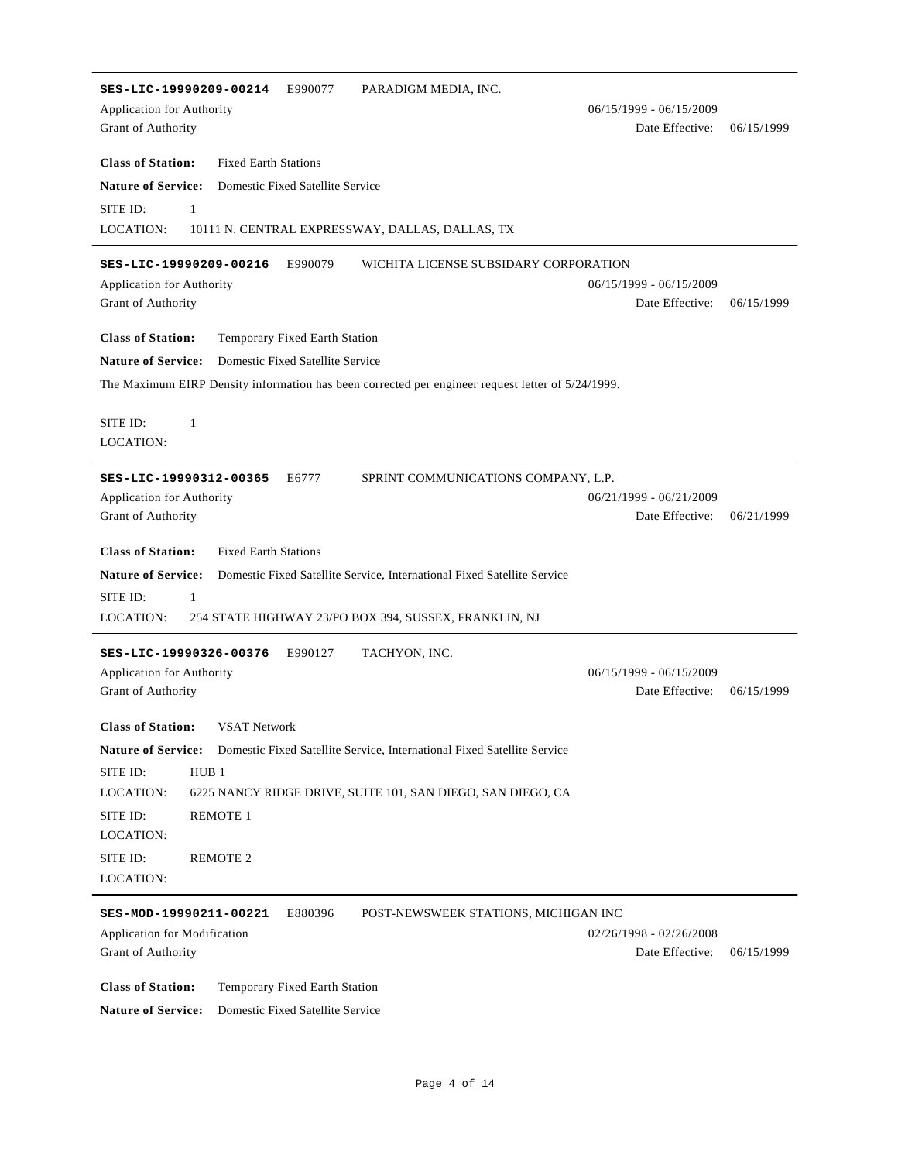| SES-LIC-19990209-00214<br>E990077<br>PARADIGM MEDIA, INC.                                            |                                              |            |
|------------------------------------------------------------------------------------------------------|----------------------------------------------|------------|
| Application for Authority                                                                            | $06/15/1999 - 06/15/2009$                    |            |
| Grant of Authority                                                                                   | Date Effective:                              | 06/15/1999 |
|                                                                                                      |                                              |            |
| <b>Class of Station:</b><br><b>Fixed Earth Stations</b>                                              |                                              |            |
| <b>Nature of Service:</b><br>Domestic Fixed Satellite Service                                        |                                              |            |
| SITE ID:<br>$\mathbf{1}$                                                                             |                                              |            |
| <b>LOCATION:</b><br>10111 N. CENTRAL EXPRESSWAY, DALLAS, DALLAS, TX                                  |                                              |            |
|                                                                                                      |                                              |            |
| SES-LIC-19990209-00216<br>E990079<br>WICHITA LICENSE SUBSIDARY CORPORATION                           |                                              |            |
| <b>Application for Authority</b>                                                                     | $06/15/1999 - 06/15/2009$<br>Date Effective: | 06/15/1999 |
| Grant of Authority                                                                                   |                                              |            |
| <b>Class of Station:</b><br>Temporary Fixed Earth Station                                            |                                              |            |
| <b>Nature of Service:</b><br>Domestic Fixed Satellite Service                                        |                                              |            |
| The Maximum EIRP Density information has been corrected per engineer request letter of 5/24/1999.    |                                              |            |
|                                                                                                      |                                              |            |
| SITE ID:<br>$\mathbf{1}$                                                                             |                                              |            |
| <b>LOCATION:</b>                                                                                     |                                              |            |
|                                                                                                      |                                              |            |
| SES-LIC-19990312-00365<br>E6777<br>SPRINT COMMUNICATIONS COMPANY, L.P.                               |                                              |            |
| Application for Authority                                                                            | $06/21/1999 - 06/21/2009$                    |            |
| Grant of Authority                                                                                   | Date Effective:                              | 06/21/1999 |
| <b>Class of Station:</b><br><b>Fixed Earth Stations</b>                                              |                                              |            |
|                                                                                                      |                                              |            |
| <b>Nature of Service:</b><br>Domestic Fixed Satellite Service, International Fixed Satellite Service |                                              |            |
| SITE ID:<br>$\mathbf{1}$                                                                             |                                              |            |
| <b>LOCATION:</b><br>254 STATE HIGHWAY 23/PO BOX 394, SUSSEX, FRANKLIN, NJ                            |                                              |            |
| SES-LIC-19990326-00376<br>E990127<br>TACHYON, INC.                                                   |                                              |            |
| <b>Application for Authority</b>                                                                     | $06/15/1999 - 06/15/2009$                    |            |
| Grant of Authority                                                                                   | Date Effective:                              | 06/15/1999 |
|                                                                                                      |                                              |            |
| <b>Class of Station:</b><br><b>VSAT Network</b>                                                      |                                              |            |
| Nature of Service: Domestic Fixed Satellite Service, International Fixed Satellite Service           |                                              |            |
| HUB <sub>1</sub><br>SITE ID:                                                                         |                                              |            |
| LOCATION:<br>6225 NANCY RIDGE DRIVE, SUITE 101, SAN DIEGO, SAN DIEGO, CA                             |                                              |            |
| SITE ID:<br><b>REMOTE 1</b>                                                                          |                                              |            |
| LOCATION:                                                                                            |                                              |            |
| SITE ID:                                                                                             |                                              |            |
| <b>REMOTE 2</b><br>LOCATION:                                                                         |                                              |            |
|                                                                                                      |                                              |            |
| SES-MOD-19990211-00221<br>E880396<br>POST-NEWSWEEK STATIONS, MICHIGAN INC                            |                                              |            |
| Application for Modification                                                                         | $02/26/1998 - 02/26/2008$                    |            |
| Grant of Authority                                                                                   | Date Effective:                              | 06/15/1999 |
|                                                                                                      |                                              |            |
| <b>Class of Station:</b><br>Temporary Fixed Earth Station                                            |                                              |            |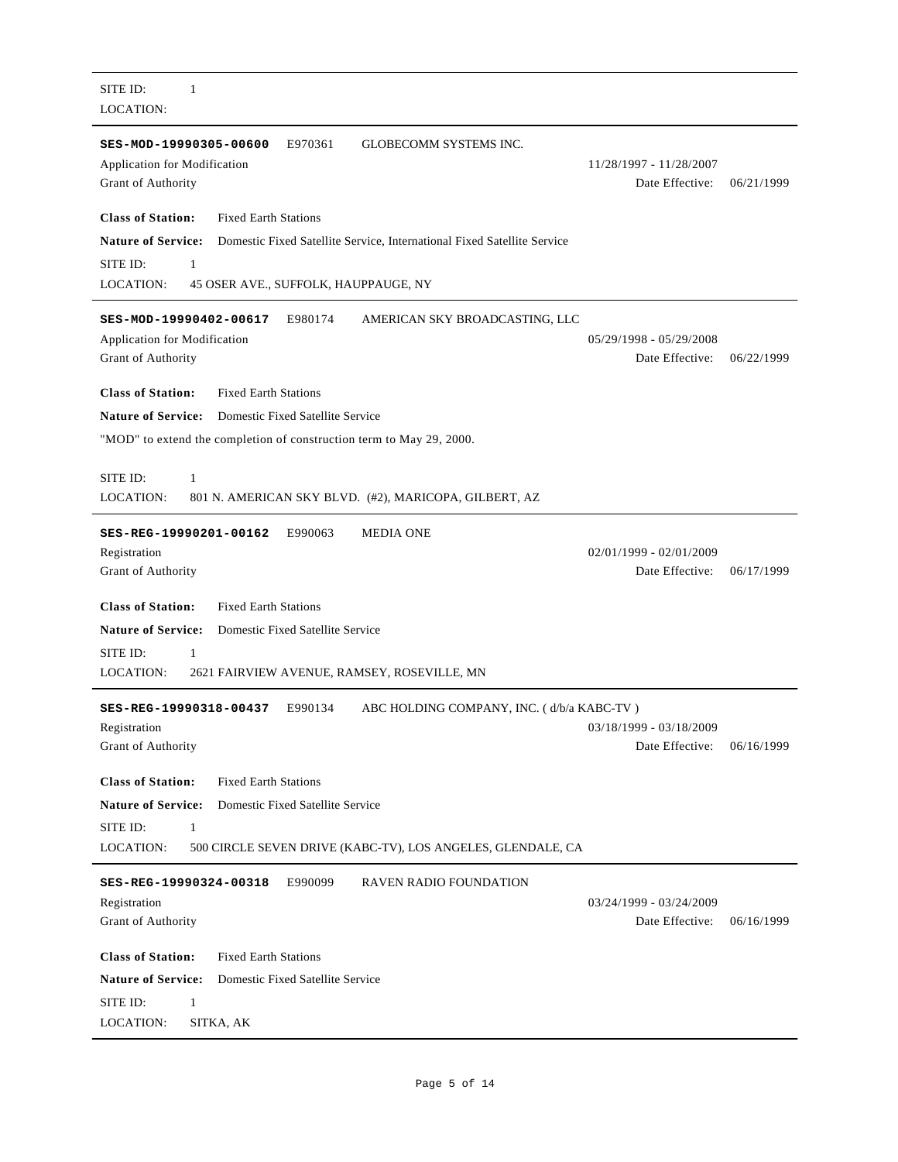| SITE ID:<br>1<br><b>LOCATION:</b>                                                                                         |                                            |            |
|---------------------------------------------------------------------------------------------------------------------------|--------------------------------------------|------------|
| E970361<br><b>GLOBECOMM SYSTEMS INC.</b><br>SES-MOD-19990305-00600<br>Application for Modification<br>Grant of Authority  | 11/28/1997 - 11/28/2007<br>Date Effective: | 06/21/1999 |
| <b>Class of Station:</b><br><b>Fixed Earth Stations</b>                                                                   |                                            |            |
| <b>Nature of Service:</b><br>Domestic Fixed Satellite Service, International Fixed Satellite Service                      |                                            |            |
| SITE ID:<br>1                                                                                                             |                                            |            |
| <b>LOCATION:</b><br>45 OSER AVE., SUFFOLK, HAUPPAUGE, NY                                                                  |                                            |            |
| E980174<br>AMERICAN SKY BROADCASTING, LLC<br>SES-MOD-19990402-00617<br>Application for Modification<br>Grant of Authority | 05/29/1998 - 05/29/2008<br>Date Effective: | 06/22/1999 |
| <b>Class of Station:</b><br><b>Fixed Earth Stations</b>                                                                   |                                            |            |
| <b>Nature of Service:</b><br>Domestic Fixed Satellite Service                                                             |                                            |            |
| "MOD" to extend the completion of construction term to May 29, 2000.                                                      |                                            |            |
|                                                                                                                           |                                            |            |
| SITE ID:<br>1                                                                                                             |                                            |            |
| LOCATION:<br>801 N. AMERICAN SKY BLVD. (#2), MARICOPA, GILBERT, AZ                                                        |                                            |            |
| E990063<br><b>MEDIA ONE</b><br>SES-REG-19990201-00162                                                                     |                                            |            |
| Registration                                                                                                              | $02/01/1999 - 02/01/2009$                  |            |
| Grant of Authority                                                                                                        | Date Effective:                            | 06/17/1999 |
| <b>Class of Station:</b><br><b>Fixed Earth Stations</b>                                                                   |                                            |            |
| <b>Nature of Service:</b><br>Domestic Fixed Satellite Service                                                             |                                            |            |
| SITE ID:<br>1                                                                                                             |                                            |            |
| LOCATION:<br>2621 FAIRVIEW AVENUE, RAMSEY, ROSEVILLE, MN                                                                  |                                            |            |
| E990134<br>ABC HOLDING COMPANY, INC. (d/b/a KABC-TV)<br>SES-REG-19990318-00437                                            |                                            |            |
| Registration                                                                                                              | 03/18/1999 - 03/18/2009                    |            |
| Grant of Authority                                                                                                        | Date Effective:                            | 06/16/1999 |
|                                                                                                                           |                                            |            |
| <b>Class of Station:</b><br><b>Fixed Earth Stations</b>                                                                   |                                            |            |
| <b>Nature of Service:</b><br>Domestic Fixed Satellite Service                                                             |                                            |            |
| SITE ID:<br>$\mathbf{1}$<br>LOCATION:<br>500 CIRCLE SEVEN DRIVE (KABC-TV), LOS ANGELES, GLENDALE, CA                      |                                            |            |
|                                                                                                                           |                                            |            |
| SES-REG-19990324-00318<br>E990099<br><b>RAVEN RADIO FOUNDATION</b>                                                        |                                            |            |
| Registration                                                                                                              | 03/24/1999 - 03/24/2009                    |            |
| Grant of Authority                                                                                                        | Date Effective:                            | 06/16/1999 |
| <b>Class of Station:</b><br><b>Fixed Earth Stations</b>                                                                   |                                            |            |
| <b>Nature of Service:</b><br>Domestic Fixed Satellite Service                                                             |                                            |            |
| SITE ID:<br>1                                                                                                             |                                            |            |
| LOCATION:<br>SITKA, AK                                                                                                    |                                            |            |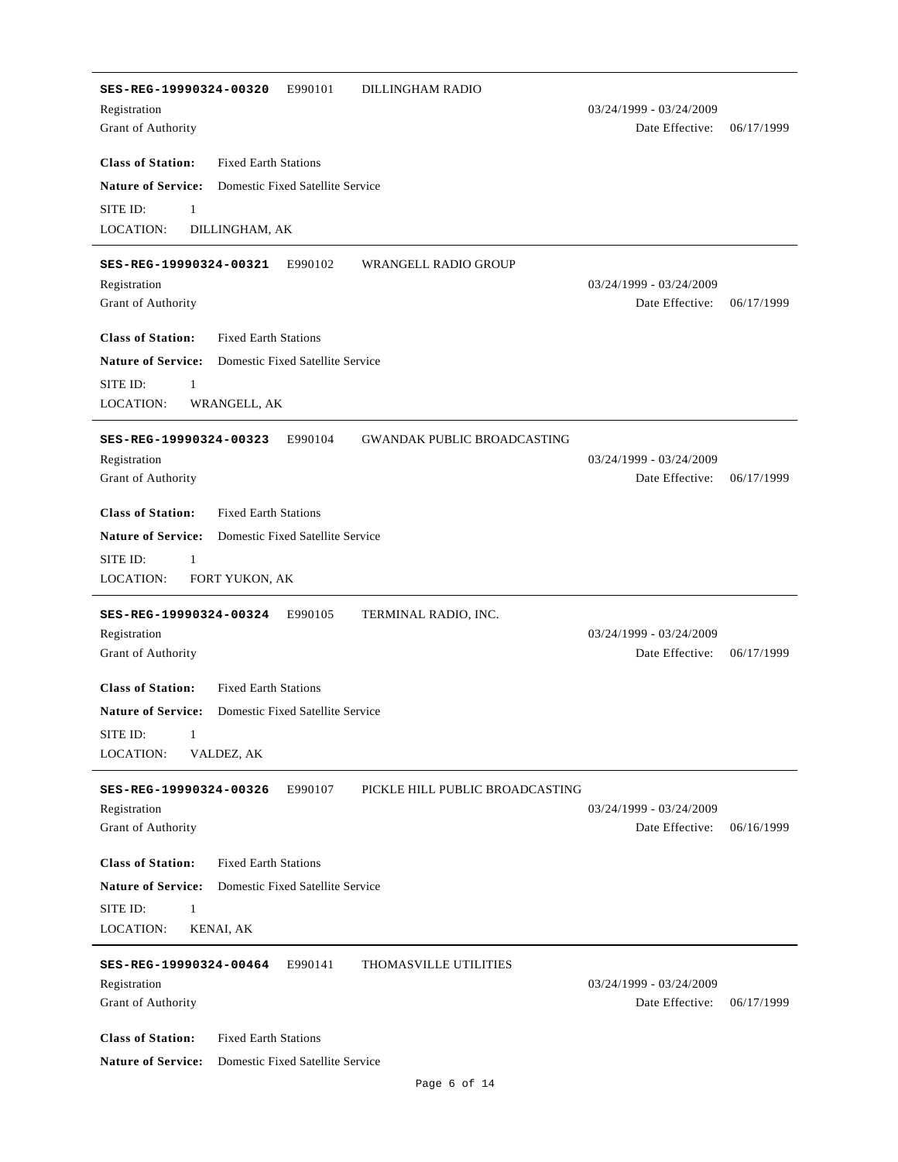| SES-REG-19990324-00320<br>E990101<br>DILLINGHAM RADIO                                   |                         |            |
|-----------------------------------------------------------------------------------------|-------------------------|------------|
| Registration                                                                            | 03/24/1999 - 03/24/2009 |            |
| Grant of Authority                                                                      | Date Effective:         | 06/17/1999 |
| <b>Class of Station:</b><br><b>Fixed Earth Stations</b>                                 |                         |            |
| <b>Nature of Service:</b><br>Domestic Fixed Satellite Service                           |                         |            |
| SITE ID:<br>$\mathbf{1}$                                                                |                         |            |
| LOCATION:<br>DILLINGHAM, AK                                                             |                         |            |
|                                                                                         |                         |            |
| E990102<br><b>WRANGELL RADIO GROUP</b><br>SES-REG-19990324-00321                        |                         |            |
| Registration                                                                            | 03/24/1999 - 03/24/2009 |            |
| Grant of Authority                                                                      | Date Effective:         | 06/17/1999 |
| <b>Class of Station:</b><br><b>Fixed Earth Stations</b>                                 |                         |            |
| <b>Nature of Service:</b><br>Domestic Fixed Satellite Service                           |                         |            |
| SITE ID:<br>1                                                                           |                         |            |
| LOCATION:<br>WRANGELL, AK                                                               |                         |            |
|                                                                                         |                         |            |
| SES-REG-19990324-00323<br>E990104<br><b>GWANDAK PUBLIC BROADCASTING</b><br>Registration | 03/24/1999 - 03/24/2009 |            |
| Grant of Authority                                                                      | Date Effective:         | 06/17/1999 |
|                                                                                         |                         |            |
| <b>Class of Station:</b><br><b>Fixed Earth Stations</b>                                 |                         |            |
| <b>Nature of Service:</b><br>Domestic Fixed Satellite Service                           |                         |            |
| SITE ID:<br>1                                                                           |                         |            |
| LOCATION:<br>FORT YUKON, AK                                                             |                         |            |
| SES-REG-19990324-00324<br>TERMINAL RADIO, INC.<br>E990105                               |                         |            |
| Registration                                                                            | 03/24/1999 - 03/24/2009 |            |
| Grant of Authority                                                                      | Date Effective:         | 06/17/1999 |
|                                                                                         |                         |            |
| <b>Class of Station:</b><br><b>Fixed Earth Stations</b>                                 |                         |            |
| <b>Nature of Service:</b><br>Domestic Fixed Satellite Service                           |                         |            |
| SITE ID: -<br>$\sim$ $\sim$ 1.                                                          |                         |            |
| LOCATION:<br>VALDEZ, AK                                                                 |                         |            |
| E990107<br>PICKLE HILL PUBLIC BROADCASTING<br>SES-REG-19990324-00326                    |                         |            |
| Registration                                                                            | 03/24/1999 - 03/24/2009 |            |
| Grant of Authority                                                                      | Date Effective:         | 06/16/1999 |
| <b>Class of Station:</b><br><b>Fixed Earth Stations</b>                                 |                         |            |
| <b>Nature of Service:</b><br>Domestic Fixed Satellite Service                           |                         |            |
| SITE ID:<br>1                                                                           |                         |            |
| LOCATION:<br>KENAI, AK                                                                  |                         |            |
|                                                                                         |                         |            |
| E990141<br>THOMASVILLE UTILITIES<br>SES-REG-19990324-00464                              |                         |            |
| Registration                                                                            | 03/24/1999 - 03/24/2009 |            |
| Grant of Authority                                                                      | Date Effective:         | 06/17/1999 |
| <b>Class of Station:</b><br><b>Fixed Earth Stations</b>                                 |                         |            |
| <b>Nature of Service:</b><br>Domestic Fixed Satellite Service                           |                         |            |
|                                                                                         |                         |            |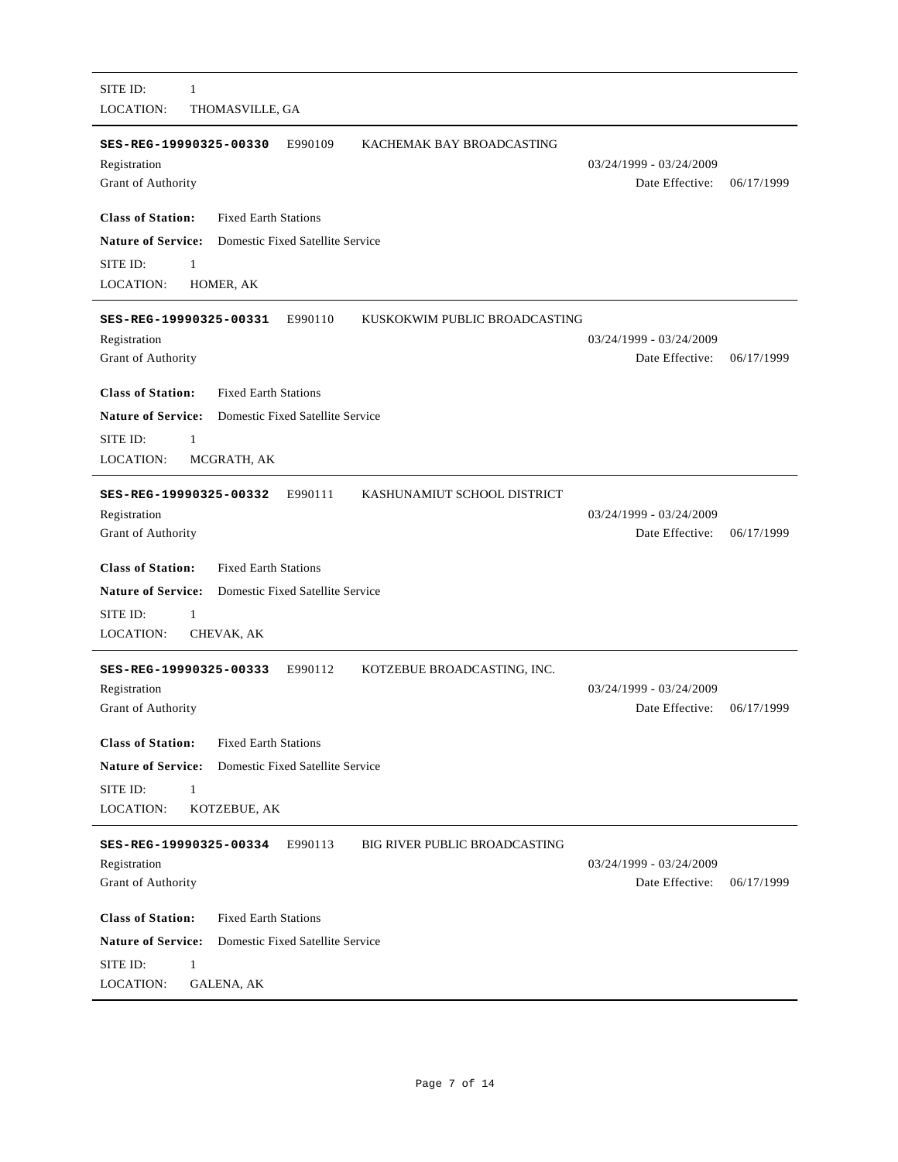| SITE ID:<br>1<br><b>LOCATION:</b><br>THOMASVILLE, GA                                                                                                                          |                                            |            |
|-------------------------------------------------------------------------------------------------------------------------------------------------------------------------------|--------------------------------------------|------------|
| SES-REG-19990325-00330<br>E990109<br>KACHEMAK BAY BROADCASTING<br>Registration<br>Grant of Authority                                                                          | 03/24/1999 - 03/24/2009<br>Date Effective: | 06/17/1999 |
| <b>Class of Station:</b><br><b>Fixed Earth Stations</b>                                                                                                                       |                                            |            |
| <b>Nature of Service:</b><br>Domestic Fixed Satellite Service                                                                                                                 |                                            |            |
| SITE ID:<br>$\mathbf{1}$                                                                                                                                                      |                                            |            |
| <b>LOCATION:</b><br>HOMER, AK                                                                                                                                                 |                                            |            |
| E990110<br>SES-REG-19990325-00331<br>KUSKOKWIM PUBLIC BROADCASTING<br>Registration<br>Grant of Authority                                                                      | 03/24/1999 - 03/24/2009<br>Date Effective: | 06/17/1999 |
| <b>Class of Station:</b><br><b>Fixed Earth Stations</b>                                                                                                                       |                                            |            |
| <b>Nature of Service:</b><br>Domestic Fixed Satellite Service                                                                                                                 |                                            |            |
| SITE ID:<br>1                                                                                                                                                                 |                                            |            |
| <b>LOCATION:</b><br>MCGRATH, AK                                                                                                                                               |                                            |            |
| SES-REG-19990325-00332<br>E990111<br>KASHUNAMIUT SCHOOL DISTRICT<br>Registration<br>Grant of Authority                                                                        | 03/24/1999 - 03/24/2009<br>Date Effective: | 06/17/1999 |
| <b>Class of Station:</b><br><b>Fixed Earth Stations</b>                                                                                                                       |                                            |            |
| <b>Nature of Service:</b><br>Domestic Fixed Satellite Service                                                                                                                 |                                            |            |
| SITE ID:<br>$\mathbf{1}$                                                                                                                                                      |                                            |            |
| <b>LOCATION:</b><br>CHEVAK, AK                                                                                                                                                |                                            |            |
| E990112<br>KOTZEBUE BROADCASTING, INC.<br>SES-REG-19990325-00333<br>Registration<br>Grant of Authority                                                                        | 03/24/1999 - 03/24/2009<br>Date Effective: | 06/17/1999 |
| <b>Class of Station:</b><br><b>Fixed Earth Stations</b><br><b>Nature of Service:</b><br>Domestic Fixed Satellite Service<br>SITE ID:<br>1<br><b>LOCATION:</b><br>KOTZEBUE, AK |                                            |            |
| <b>BIG RIVER PUBLIC BROADCASTING</b><br>SES-REG-19990325-00334                                                                                                                |                                            |            |
| E990113<br>Registration<br>Grant of Authority                                                                                                                                 | 03/24/1999 - 03/24/2009<br>Date Effective: | 06/17/1999 |
| <b>Class of Station:</b><br><b>Fixed Earth Stations</b>                                                                                                                       |                                            |            |
| <b>Nature of Service:</b><br>Domestic Fixed Satellite Service                                                                                                                 |                                            |            |
| SITE ID:<br>$\mathbf{1}$                                                                                                                                                      |                                            |            |
| LOCATION:<br>GALENA, AK                                                                                                                                                       |                                            |            |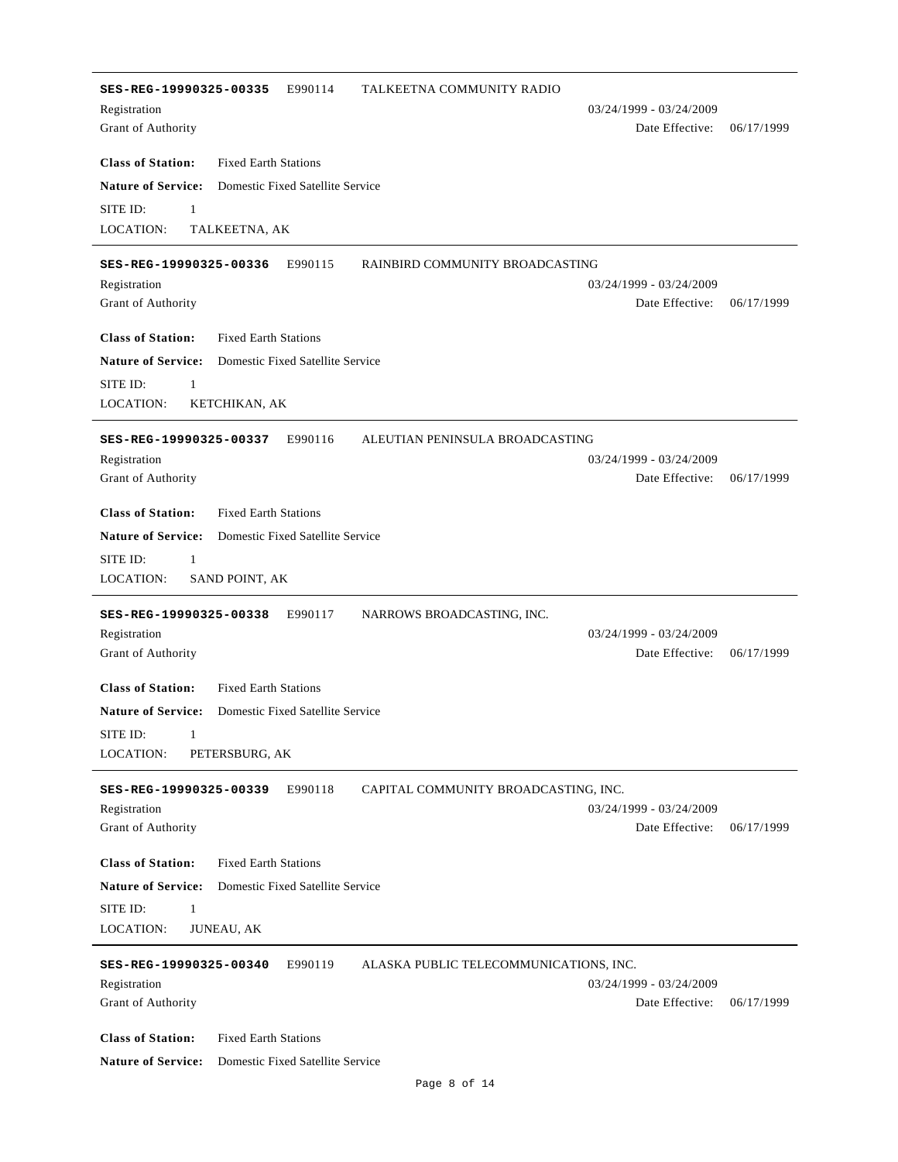| SES-REG-19990325-00335<br>E990114                             | TALKEETNA COMMUNITY RADIO                                         |            |
|---------------------------------------------------------------|-------------------------------------------------------------------|------------|
| Registration                                                  | 03/24/1999 - 03/24/2009                                           |            |
| Grant of Authority                                            | Date Effective:                                                   | 06/17/1999 |
| <b>Class of Station:</b><br><b>Fixed Earth Stations</b>       |                                                                   |            |
| <b>Nature of Service:</b><br>Domestic Fixed Satellite Service |                                                                   |            |
| SITE ID:<br>$\mathbf{1}$                                      |                                                                   |            |
| <b>LOCATION:</b><br>TALKEETNA, AK                             |                                                                   |            |
| E990115<br>SES-REG-19990325-00336                             | RAINBIRD COMMUNITY BROADCASTING                                   |            |
| Registration                                                  | 03/24/1999 - 03/24/2009                                           |            |
| Grant of Authority                                            | Date Effective:                                                   | 06/17/1999 |
| <b>Class of Station:</b><br><b>Fixed Earth Stations</b>       |                                                                   |            |
| <b>Nature of Service:</b><br>Domestic Fixed Satellite Service |                                                                   |            |
| $\mathbf{1}$<br>SITE ID:                                      |                                                                   |            |
| <b>LOCATION:</b><br>KETCHIKAN, AK                             |                                                                   |            |
|                                                               |                                                                   |            |
| E990116<br>SES-REG-19990325-00337<br>Registration             | ALEUTIAN PENINSULA BROADCASTING<br>03/24/1999 - 03/24/2009        |            |
| Grant of Authority                                            | Date Effective:                                                   | 06/17/1999 |
|                                                               |                                                                   |            |
| <b>Class of Station:</b><br><b>Fixed Earth Stations</b>       |                                                                   |            |
| <b>Nature of Service:</b><br>Domestic Fixed Satellite Service |                                                                   |            |
| SITE ID:<br>$\mathbf{1}$                                      |                                                                   |            |
| LOCATION:<br>SAND POINT, AK                                   |                                                                   |            |
| SES-REG-19990325-00338<br>E990117                             | NARROWS BROADCASTING, INC.                                        |            |
| Registration                                                  | 03/24/1999 - 03/24/2009                                           |            |
| Grant of Authority                                            | Date Effective:                                                   | 06/17/1999 |
| <b>Class of Station:</b><br><b>Fixed Earth Stations</b>       |                                                                   |            |
| <b>Nature of Service:</b><br>Domestic Fixed Satellite Service |                                                                   |            |
| SITE ID: 1                                                    |                                                                   |            |
| LOCATION:<br>PETERSBURG, AK                                   |                                                                   |            |
| E990118<br>SES-REG-19990325-00339                             | CAPITAL COMMUNITY BROADCASTING, INC.                              |            |
| Registration                                                  | 03/24/1999 - 03/24/2009                                           |            |
| Grant of Authority                                            | Date Effective:                                                   | 06/17/1999 |
| <b>Class of Station:</b><br><b>Fixed Earth Stations</b>       |                                                                   |            |
| <b>Nature of Service:</b><br>Domestic Fixed Satellite Service |                                                                   |            |
| SITE ID:<br>1                                                 |                                                                   |            |
| LOCATION:<br><b>JUNEAU, AK</b>                                |                                                                   |            |
|                                                               |                                                                   |            |
| SES-REG-19990325-00340<br>E990119                             | ALASKA PUBLIC TELECOMMUNICATIONS, INC.<br>03/24/1999 - 03/24/2009 |            |
| Registration<br>Grant of Authority                            | Date Effective:                                                   | 06/17/1999 |
|                                                               |                                                                   |            |
| <b>Class of Station:</b><br><b>Fixed Earth Stations</b>       |                                                                   |            |
| <b>Nature of Service:</b><br>Domestic Fixed Satellite Service |                                                                   |            |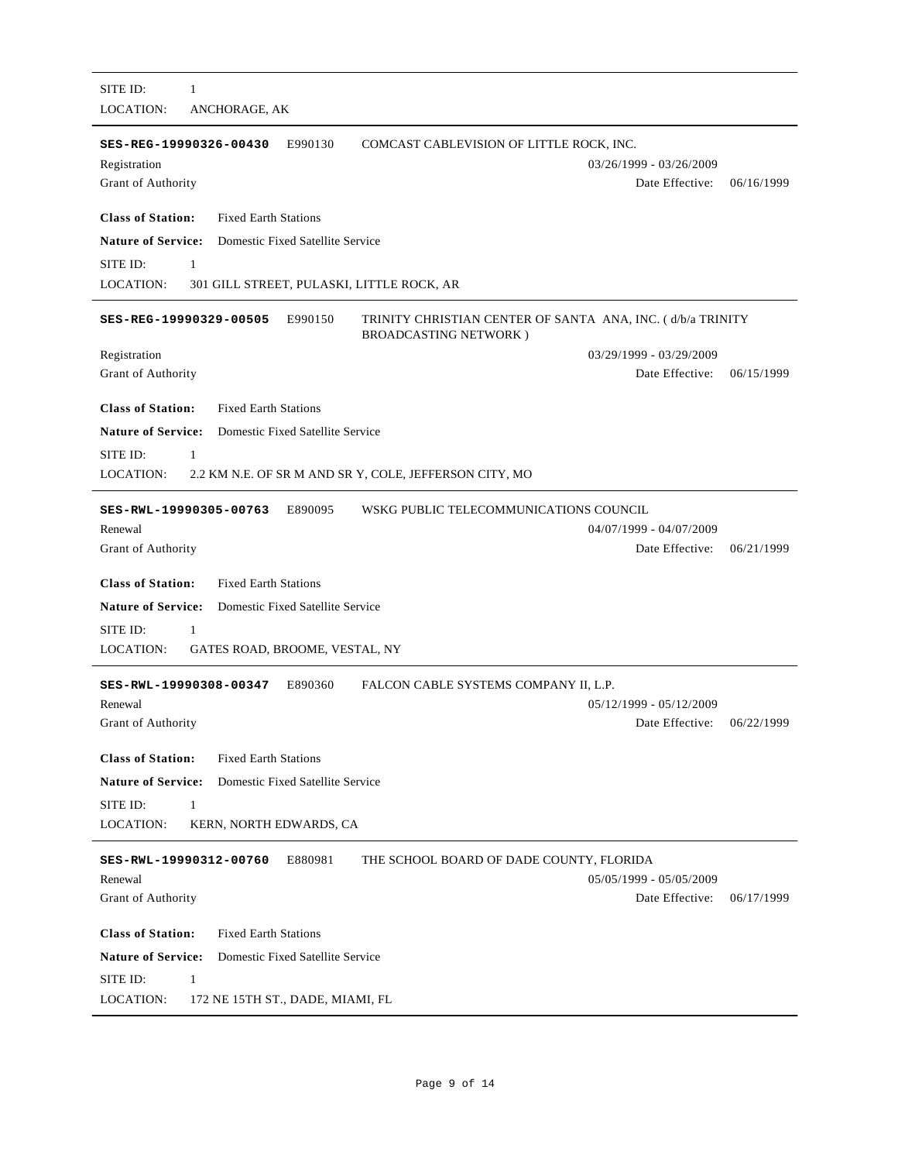| SITE ID:<br>1                                                                                                                    |                           |            |
|----------------------------------------------------------------------------------------------------------------------------------|---------------------------|------------|
| <b>LOCATION:</b><br>ANCHORAGE, AK                                                                                                |                           |            |
| E990130<br>COMCAST CABLEVISION OF LITTLE ROCK, INC.<br>SES-REG-19990326-00430<br>Registration                                    | 03/26/1999 - 03/26/2009   |            |
| Grant of Authority                                                                                                               | Date Effective:           | 06/16/1999 |
| <b>Class of Station:</b><br><b>Fixed Earth Stations</b>                                                                          |                           |            |
| <b>Nature of Service:</b><br>Domestic Fixed Satellite Service                                                                    |                           |            |
| SITE ID:<br>$\mathbf{1}$                                                                                                         |                           |            |
| <b>LOCATION:</b><br>301 GILL STREET, PULASKI, LITTLE ROCK, AR                                                                    |                           |            |
| E990150<br>TRINITY CHRISTIAN CENTER OF SANTA ANA, INC. (d/b/a TRINITY<br>SES-REG-19990329-00505<br><b>BROADCASTING NETWORK</b> ) |                           |            |
| Registration                                                                                                                     | 03/29/1999 - 03/29/2009   |            |
| Grant of Authority                                                                                                               | Date Effective:           | 06/15/1999 |
| <b>Class of Station:</b><br><b>Fixed Earth Stations</b>                                                                          |                           |            |
| <b>Nature of Service:</b><br>Domestic Fixed Satellite Service                                                                    |                           |            |
| SITE ID:<br>1                                                                                                                    |                           |            |
| <b>LOCATION:</b><br>2.2 KM N.E. OF SR M AND SR Y, COLE, JEFFERSON CITY, MO                                                       |                           |            |
| E890095<br>WSKG PUBLIC TELECOMMUNICATIONS COUNCIL<br>SES-RWL-19990305-00763                                                      |                           |            |
| Renewal                                                                                                                          | 04/07/1999 - 04/07/2009   |            |
| Grant of Authority                                                                                                               | Date Effective:           | 06/21/1999 |
| <b>Class of Station:</b><br><b>Fixed Earth Stations</b>                                                                          |                           |            |
| <b>Nature of Service:</b><br>Domestic Fixed Satellite Service                                                                    |                           |            |
| SITE ID:<br>1                                                                                                                    |                           |            |
| <b>LOCATION:</b><br>GATES ROAD, BROOME, VESTAL, NY                                                                               |                           |            |
| E890360<br>FALCON CABLE SYSTEMS COMPANY II, L.P.<br>SES-RWL-19990308-00347                                                       |                           |            |
| Renewal                                                                                                                          | $05/12/1999 - 05/12/2009$ |            |
| Grant of Authority                                                                                                               | Date Effective:           | 06/22/1999 |
| <b>Class of Station:</b><br><b>Fixed Earth Stations</b>                                                                          |                           |            |
| <b>Nature of Service:</b><br>Domestic Fixed Satellite Service                                                                    |                           |            |
| SITE ID:<br>1                                                                                                                    |                           |            |
| LOCATION:<br>KERN, NORTH EDWARDS, CA                                                                                             |                           |            |
| E880981<br>THE SCHOOL BOARD OF DADE COUNTY, FLORIDA<br>SES-RWL-19990312-00760                                                    |                           |            |
| Renewal                                                                                                                          | 05/05/1999 - 05/05/2009   |            |
| Grant of Authority                                                                                                               | Date Effective:           | 06/17/1999 |
| <b>Class of Station:</b><br><b>Fixed Earth Stations</b>                                                                          |                           |            |
| <b>Nature of Service:</b><br>Domestic Fixed Satellite Service                                                                    |                           |            |
| SITE ID:<br>$\mathbf{1}$                                                                                                         |                           |            |
| LOCATION:<br>172 NE 15TH ST., DADE, MIAMI, FL                                                                                    |                           |            |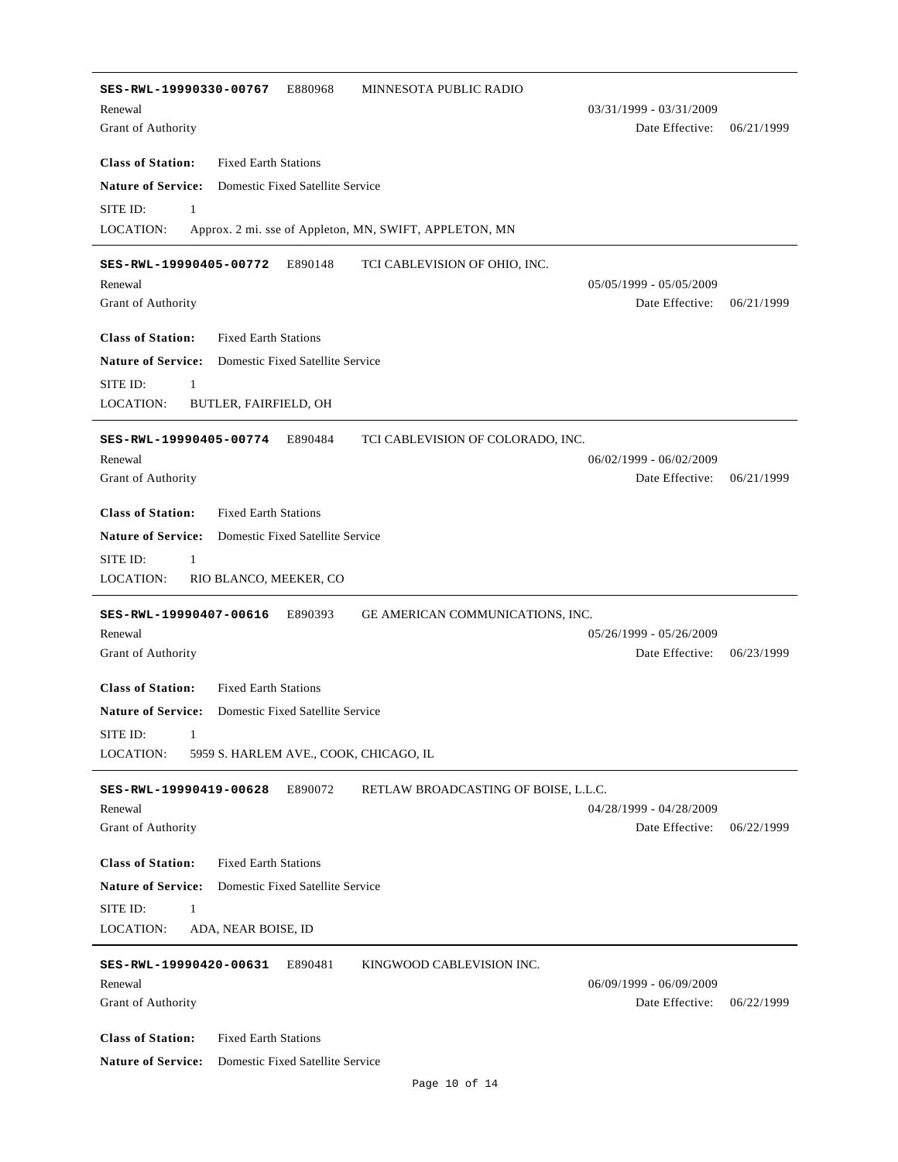**SES-RWL-19990330-00767** E880968 MINNESOTA PUBLIC RADIO Date Effective: 06/21/1999 **Class of Station:** Grant of Authority Fixed Earth Stations Renewal 03/31/1999 - 03/31/2009 **Nature of Service:** Domestic Fixed Satellite Service LOCATION: SITE ID: Approx. 2 mi. sse of Appleton, MN, SWIFT, APPLETON, MN **SES-RWL-19990405-00772** E890148 TCI CABLEVISION OF OHIO, INC. Date Effective: 06/21/1999 **Class of Station:** Grant of Authority Fixed Earth Stations Renewal 05/05/1999 - 05/05/2009 **Nature of Service:** Domestic Fixed Satellite Service LOCATION: SITE ID: 1 BUTLER, FAIRFIELD, OH **SES-RWL-19990405-00774** E890484 TCI CABLEVISION OF COLORADO, INC. Date Effective: 06/21/1999 **Class of Station:** Grant of Authority Fixed Earth Stations Renewal 06/02/1999 - 06/02/2009 **Nature of Service:** Domestic Fixed Satellite Service LOCATION: SITE ID: 1 RIO BLANCO, MEEKER, CO **SES-RWL-19990407-00616** E890393 GE AMERICAN COMMUNICATIONS, INC. Date Effective: 06/23/1999 **Class of Station:** Grant of Authority Fixed Earth Stations Renewal 05/26/1999 - 05/26/2009 **Nature of Service:** Domestic Fixed Satellite Service LOCATION: SITE ID: 1 5959 S. HARLEM AVE., COOK, CHICAGO, IL **SES-RWL-19990419-00628** E890072 RETLAW BROADCASTING OF BOISE, L.L.C. Date Effective: 06/22/1999 **Class of Station:** Grant of Authority Fixed Earth Stations Renewal 04/28/1999 - 04/28/2009 **Nature of Service:** Domestic Fixed Satellite Service LOCATION: SITE ID: 1 ADA, NEAR BOISE, ID **SES-RWL-19990420-00631** E890481 KINGWOOD CABLEVISION INC. Date Effective: 06/22/1999 **Class of Station:** Grant of Authority Fixed Earth Stations Renewal 06/09/1999 - 06/09/2009 **Nature of Service:** Domestic Fixed Satellite Service

Page 10 of 14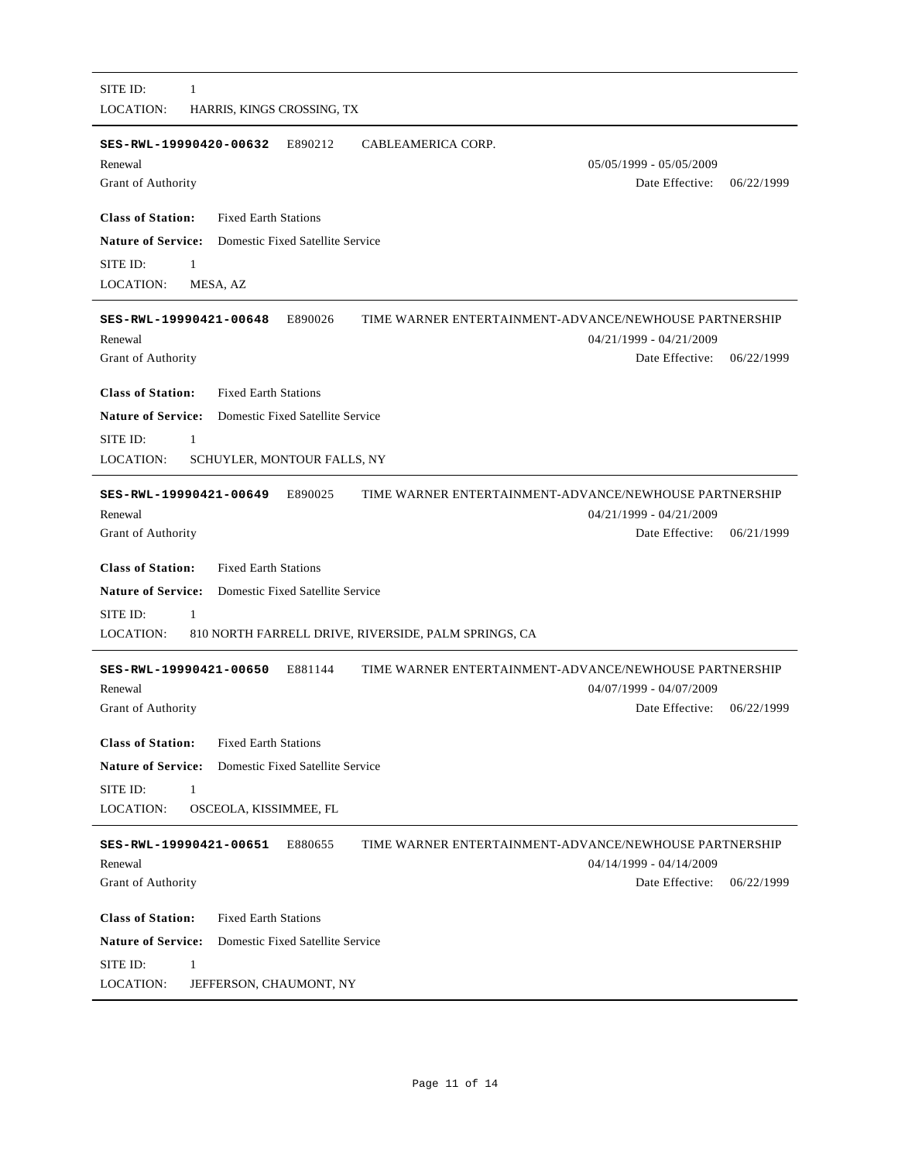| SITE ID:<br>1                                                                               |
|---------------------------------------------------------------------------------------------|
| <b>LOCATION:</b><br>HARRIS, KINGS CROSSING, TX                                              |
|                                                                                             |
| E890212<br>CABLEAMERICA CORP.<br>SES-RWL-19990420-00632                                     |
| Renewal<br>05/05/1999 - 05/05/2009                                                          |
| Date Effective:<br>Grant of Authority<br>06/22/1999                                         |
|                                                                                             |
| <b>Class of Station:</b><br><b>Fixed Earth Stations</b>                                     |
| <b>Nature of Service:</b><br>Domestic Fixed Satellite Service                               |
| SITE ID:<br>$\mathbf{1}$                                                                    |
| LOCATION:<br>MESA, AZ                                                                       |
|                                                                                             |
| TIME WARNER ENTERTAINMENT-ADVANCE/NEWHOUSE PARTNERSHIP<br>SES-RWL-19990421-00648<br>E890026 |
| Renewal<br>04/21/1999 - 04/21/2009                                                          |
| Date Effective:<br>Grant of Authority<br>06/22/1999                                         |
|                                                                                             |
| <b>Class of Station:</b><br><b>Fixed Earth Stations</b>                                     |
| <b>Nature of Service:</b><br>Domestic Fixed Satellite Service                               |
| SITE ID:<br>1                                                                               |
| LOCATION:<br>SCHUYLER, MONTOUR FALLS, NY                                                    |
| TIME WARNER ENTERTAINMENT-ADVANCE/NEWHOUSE PARTNERSHIP                                      |
| SES-RWL-19990421-00649<br>E890025                                                           |
| Renewal<br>04/21/1999 - 04/21/2009<br>Grant of Authority<br>Date Effective:<br>06/21/1999   |
|                                                                                             |
| <b>Class of Station:</b><br><b>Fixed Earth Stations</b>                                     |
| <b>Nature of Service:</b><br>Domestic Fixed Satellite Service                               |
| SITE ID:<br>1                                                                               |
| LOCATION:<br>810 NORTH FARRELL DRIVE, RIVERSIDE, PALM SPRINGS, CA                           |
|                                                                                             |
| TIME WARNER ENTERTAINMENT-ADVANCE/NEWHOUSE PARTNERSHIP<br>E881144<br>SES-RWL-19990421-00650 |
| Renewal<br>04/07/1999 - 04/07/2009                                                          |
| Date Effective:<br>06/22/1999<br>Grant of Authority                                         |
|                                                                                             |
| <b>Class of Station:</b><br><b>Fixed Earth Stations</b>                                     |
| <b>Nature of Service:</b><br>Domestic Fixed Satellite Service                               |
| SITE ID:<br>$\mathbf{1}$                                                                    |
| <b>LOCATION:</b><br>OSCEOLA, KISSIMMEE, FL                                                  |
|                                                                                             |
| E880655<br>TIME WARNER ENTERTAINMENT-ADVANCE/NEWHOUSE PARTNERSHIP<br>SES-RWL-19990421-00651 |
| 04/14/1999 - 04/14/2009<br>Renewal                                                          |
| Grant of Authority<br>Date Effective:<br>06/22/1999                                         |
|                                                                                             |
| <b>Class of Station:</b><br><b>Fixed Earth Stations</b>                                     |
| <b>Nature of Service:</b><br>Domestic Fixed Satellite Service                               |
| SITE ID:<br>1                                                                               |
| LOCATION:<br>JEFFERSON, CHAUMONT, NY                                                        |
|                                                                                             |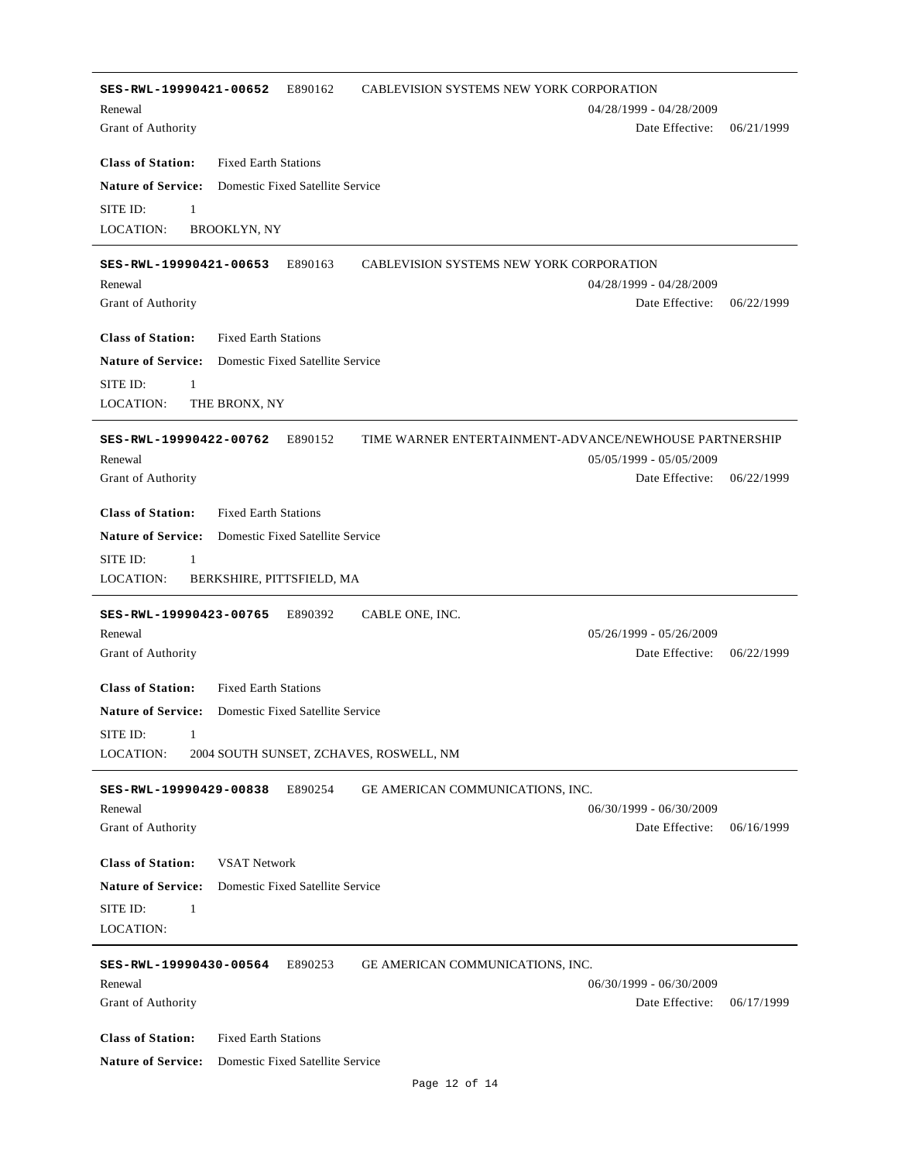**SES-RWL-19990421-00652** E890162 CABLEVISION SYSTEMS NEW YORK CORPORATION Date Effective: 06/21/1999 **Class of Station:** Grant of Authority Fixed Earth Stations Renewal 04/28/1999 - 04/28/2009 **Nature of Service:** Domestic Fixed Satellite Service LOCATION: SITE ID: 1 BROOKLYN, NY **SES-RWL-19990421-00653** E890163 CABLEVISION SYSTEMS NEW YORK CORPORATION Date Effective: 06/22/1999 **Class of Station:** Grant of Authority Fixed Earth Stations Renewal 04/28/1999 - 04/28/2009 **Nature of Service:** Domestic Fixed Satellite Service LOCATION: SITE ID: 1 THE BRONX, NY **SES-RWL-19990422-00762** E890152 TIME WARNER ENTERTAINMENT-ADVANCE/NEWHOUSE PARTNERSHIP Date Effective: 06/22/1999 **Class of Station:** Grant of Authority Fixed Earth Stations Renewal 05/05/1999 - 05/05/2009 **Nature of Service:** Domestic Fixed Satellite Service LOCATION: SITE ID: 1 BERKSHIRE, PITTSFIELD, MA **SES-RWL-19990423-00765** E890392 CABLE ONE, INC. Date Effective: 06/22/1999 **Class of Station:** Grant of Authority Fixed Earth Stations Renewal 05/26/1999 - 05/26/2009 **Nature of Service:** Domestic Fixed Satellite Service LOCATION: SITE ID: 1 2004 SOUTH SUNSET, ZCHAVES, ROSWELL, NM **SES-RWL-19990429-00838** E890254 GE AMERICAN COMMUNICATIONS, INC. Date Effective: 06/16/1999 **Class of Station:** Grant of Authority VSAT Network Renewal 06/30/1999 - 06/30/2009 **Nature of Service:** Domestic Fixed Satellite Service LOCATION: SITE ID: 1 **SES-RWL-19990430-00564** E890253 GE AMERICAN COMMUNICATIONS, INC. Date Effective: 06/17/1999 **Class of Station:** Grant of Authority Fixed Earth Stations Renewal 06/30/1999 - 06/30/2009 **Nature of Service:** Domestic Fixed Satellite Service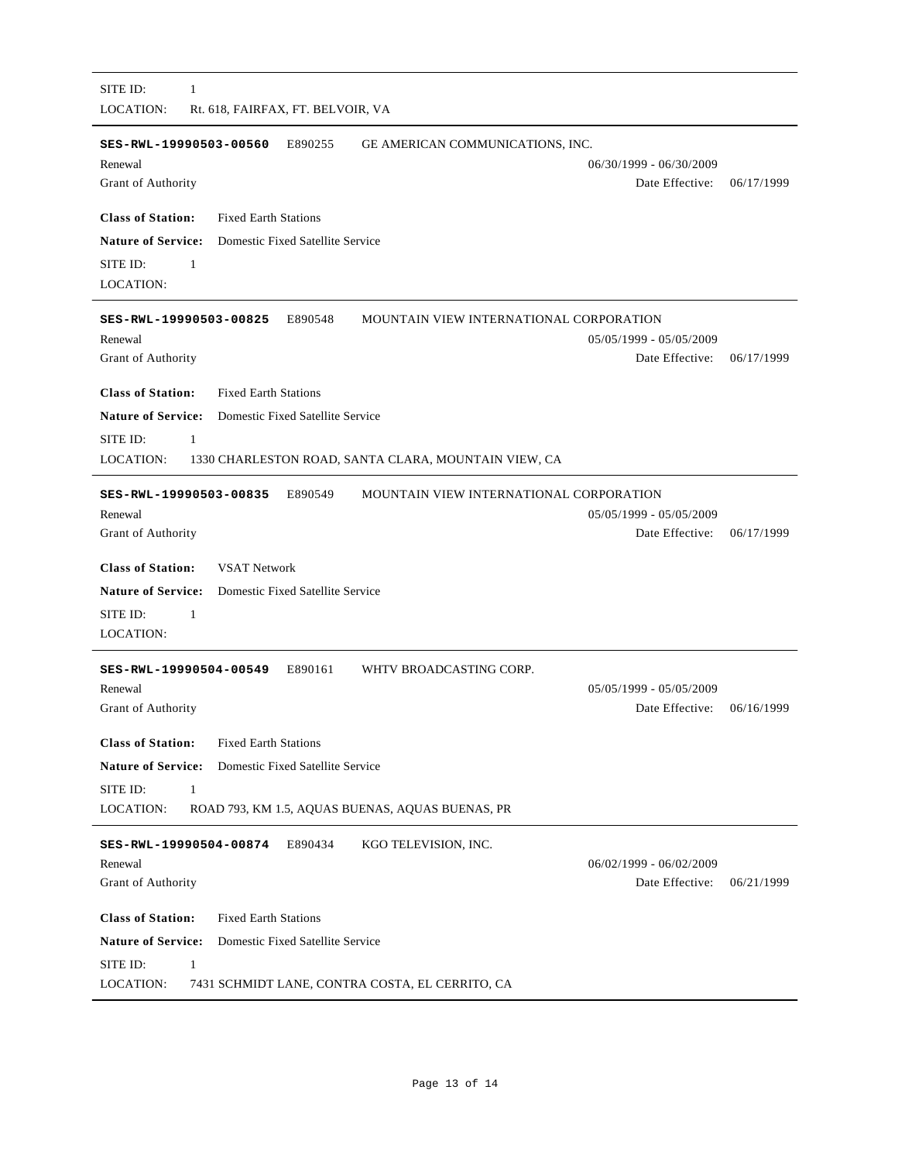|                                                            | SES-RWL-19990503-00560           | E890255                          | GE AMERICAN COMMUNICATIONS, INC.                     |            |
|------------------------------------------------------------|----------------------------------|----------------------------------|------------------------------------------------------|------------|
| Renewal                                                    |                                  |                                  | $06/30/1999 - 06/30/2009$                            |            |
| Grant of Authority                                         |                                  |                                  | Date Effective:                                      | 06/17/1999 |
| <b>Class of Station:</b>                                   | <b>Fixed Earth Stations</b>      |                                  |                                                      |            |
| <b>Nature of Service:</b> Domestic Fixed Satellite Service |                                  |                                  |                                                      |            |
| SITE ID:<br>$\mathbf{1}$                                   |                                  |                                  |                                                      |            |
| LOCATION:                                                  |                                  |                                  |                                                      |            |
| SES-RWL-19990503-00825                                     |                                  | E890548                          | MOUNTAIN VIEW INTERNATIONAL CORPORATION              |            |
| Renewal                                                    |                                  |                                  | 05/05/1999 - 05/05/2009                              |            |
| Grant of Authority                                         |                                  |                                  | Date Effective:                                      | 06/17/1999 |
| <b>Class of Station:</b>                                   | <b>Fixed Earth Stations</b>      |                                  |                                                      |            |
| <b>Nature of Service:</b>                                  | Domestic Fixed Satellite Service |                                  |                                                      |            |
| SITE ID:<br>$\mathbf{1}$                                   |                                  |                                  |                                                      |            |
| LOCATION:                                                  |                                  |                                  | 1330 CHARLESTON ROAD, SANTA CLARA, MOUNTAIN VIEW, CA |            |
| SES-RWL-19990503-00835                                     |                                  | E890549                          | MOUNTAIN VIEW INTERNATIONAL CORPORATION              |            |
| Renewal                                                    |                                  |                                  | $05/05/1999 - 05/05/2009$                            |            |
| Grant of Authority                                         |                                  |                                  | Date Effective:                                      | 06/17/1999 |
| <b>Class of Station:</b>                                   | <b>VSAT Network</b>              |                                  |                                                      |            |
| <b>Nature of Service:</b>                                  | Domestic Fixed Satellite Service |                                  |                                                      |            |
|                                                            |                                  |                                  |                                                      |            |
| SITE ID:<br>-1                                             |                                  |                                  |                                                      |            |
|                                                            |                                  |                                  |                                                      |            |
| LOCATION:<br>SES-RWL-19990504-00549                        |                                  | E890161                          | WHTV BROADCASTING CORP.                              |            |
| Renewal                                                    |                                  |                                  | 05/05/1999 - 05/05/2009                              |            |
|                                                            |                                  |                                  | Date Effective:                                      |            |
| Grant of Authority<br><b>Class of Station:</b>             | <b>Fixed Earth Stations</b>      |                                  |                                                      | 06/16/1999 |
| <b>Nature of Service:</b>                                  |                                  | Domestic Fixed Satellite Service |                                                      |            |
| SITE ID:<br>1                                              |                                  |                                  |                                                      |            |
|                                                            |                                  |                                  | ROAD 793, KM 1.5, AQUAS BUENAS, AQUAS BUENAS, PR     |            |
| LOCATION:<br>SES-RWL-19990504-00874                        |                                  | E890434                          | KGO TELEVISION, INC.                                 |            |
| Renewal                                                    |                                  |                                  | $06/02/1999 - 06/02/2009$                            |            |
|                                                            |                                  |                                  | Date Effective:                                      | 06/21/1999 |
| Grant of Authority<br><b>Class of Station:</b>             | <b>Fixed Earth Stations</b>      |                                  |                                                      |            |
| <b>Nature of Service:</b>                                  |                                  | Domestic Fixed Satellite Service |                                                      |            |